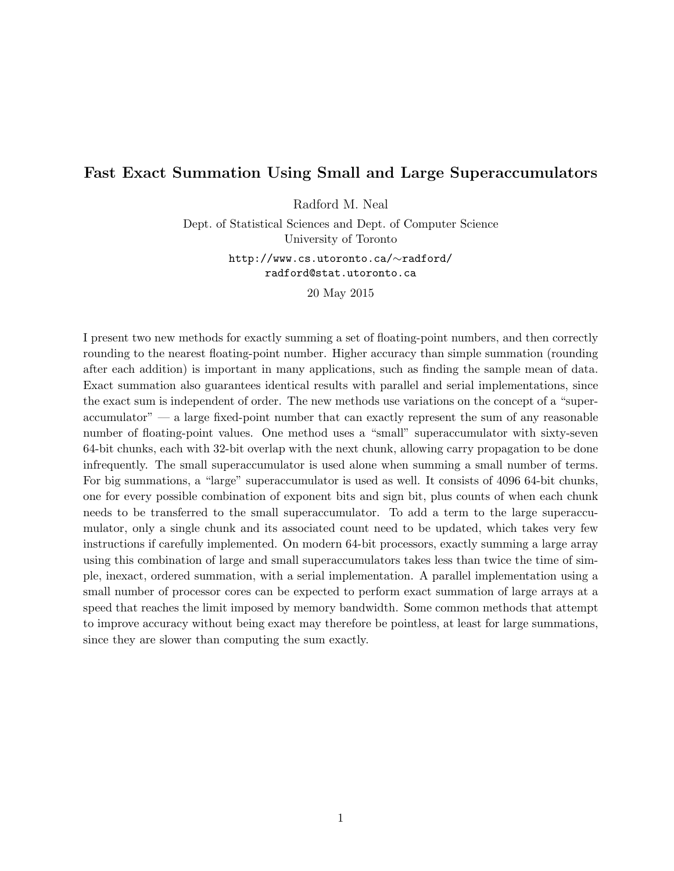# Fast Exact Summation Using Small and Large Superaccumulators

Radford M. Neal

Dept. of Statistical Sciences and Dept. of Computer Science University of Toronto

> http://www.cs.utoronto.ca/∼radford/ radford@stat.utoronto.ca

> > 20 May 2015

I present two new methods for exactly summing a set of floating-point numbers, and then correctly rounding to the nearest floating-point number. Higher accuracy than simple summation (rounding after each addition) is important in many applications, such as finding the sample mean of data. Exact summation also guarantees identical results with parallel and serial implementations, since the exact sum is independent of order. The new methods use variations on the concept of a "superaccumulator" — a large fixed-point number that can exactly represent the sum of any reasonable number of floating-point values. One method uses a "small" superaccumulator with sixty-seven 64-bit chunks, each with 32-bit overlap with the next chunk, allowing carry propagation to be done infrequently. The small superaccumulator is used alone when summing a small number of terms. For big summations, a "large" superaccumulator is used as well. It consists of 4096 64-bit chunks, one for every possible combination of exponent bits and sign bit, plus counts of when each chunk needs to be transferred to the small superaccumulator. To add a term to the large superaccumulator, only a single chunk and its associated count need to be updated, which takes very few instructions if carefully implemented. On modern 64-bit processors, exactly summing a large array using this combination of large and small superaccumulators takes less than twice the time of simple, inexact, ordered summation, with a serial implementation. A parallel implementation using a small number of processor cores can be expected to perform exact summation of large arrays at a speed that reaches the limit imposed by memory bandwidth. Some common methods that attempt to improve accuracy without being exact may therefore be pointless, at least for large summations, since they are slower than computing the sum exactly.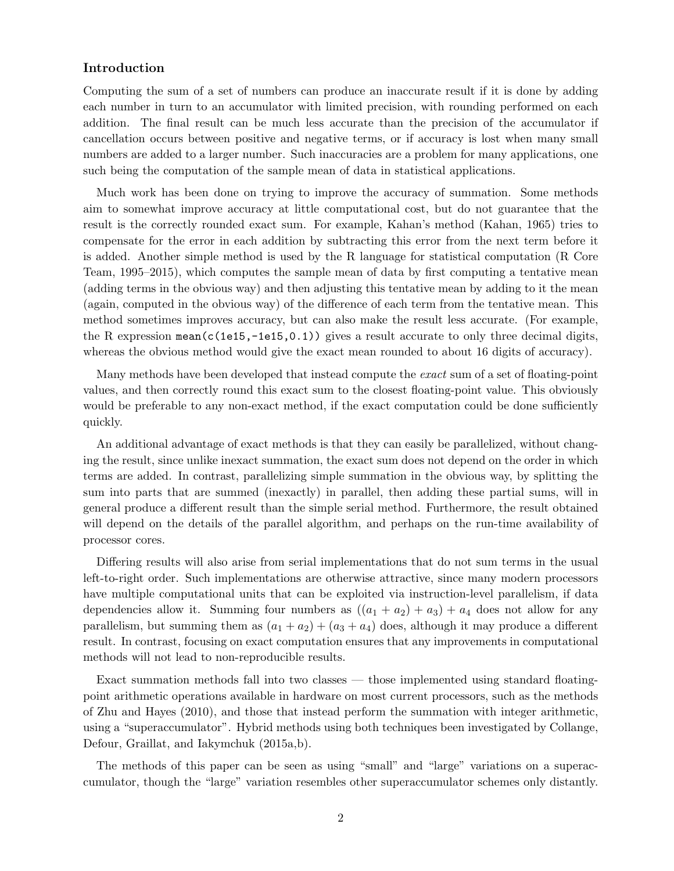# Introduction

Computing the sum of a set of numbers can produce an inaccurate result if it is done by adding each number in turn to an accumulator with limited precision, with rounding performed on each addition. The final result can be much less accurate than the precision of the accumulator if cancellation occurs between positive and negative terms, or if accuracy is lost when many small numbers are added to a larger number. Such inaccuracies are a problem for many applications, one such being the computation of the sample mean of data in statistical applications.

Much work has been done on trying to improve the accuracy of summation. Some methods aim to somewhat improve accuracy at little computational cost, but do not guarantee that the result is the correctly rounded exact sum. For example, Kahan's method (Kahan, 1965) tries to compensate for the error in each addition by subtracting this error from the next term before it is added. Another simple method is used by the R language for statistical computation (R Core Team, 1995–2015), which computes the sample mean of data by first computing a tentative mean (adding terms in the obvious way) and then adjusting this tentative mean by adding to it the mean (again, computed in the obvious way) of the difference of each term from the tentative mean. This method sometimes improves accuracy, but can also make the result less accurate. (For example, the R expression mean( $c(1e15,-1e15,0.1)$ ) gives a result accurate to only three decimal digits, whereas the obvious method would give the exact mean rounded to about 16 digits of accuracy).

Many methods have been developed that instead compute the *exact* sum of a set of floating-point values, and then correctly round this exact sum to the closest floating-point value. This obviously would be preferable to any non-exact method, if the exact computation could be done sufficiently quickly.

An additional advantage of exact methods is that they can easily be parallelized, without changing the result, since unlike inexact summation, the exact sum does not depend on the order in which terms are added. In contrast, parallelizing simple summation in the obvious way, by splitting the sum into parts that are summed (inexactly) in parallel, then adding these partial sums, will in general produce a different result than the simple serial method. Furthermore, the result obtained will depend on the details of the parallel algorithm, and perhaps on the run-time availability of processor cores.

Differing results will also arise from serial implementations that do not sum terms in the usual left-to-right order. Such implementations are otherwise attractive, since many modern processors have multiple computational units that can be exploited via instruction-level parallelism, if data dependencies allow it. Summing four numbers as  $((a_1 + a_2) + a_3) + a_4$  does not allow for any parallelism, but summing them as  $(a_1 + a_2) + (a_3 + a_4)$  does, although it may produce a different result. In contrast, focusing on exact computation ensures that any improvements in computational methods will not lead to non-reproducible results.

Exact summation methods fall into two classes — those implemented using standard floatingpoint arithmetic operations available in hardware on most current processors, such as the methods of Zhu and Hayes (2010), and those that instead perform the summation with integer arithmetic, using a "superaccumulator". Hybrid methods using both techniques been investigated by Collange, Defour, Graillat, and Iakymchuk (2015a,b).

The methods of this paper can be seen as using "small" and "large" variations on a superaccumulator, though the "large" variation resembles other superaccumulator schemes only distantly.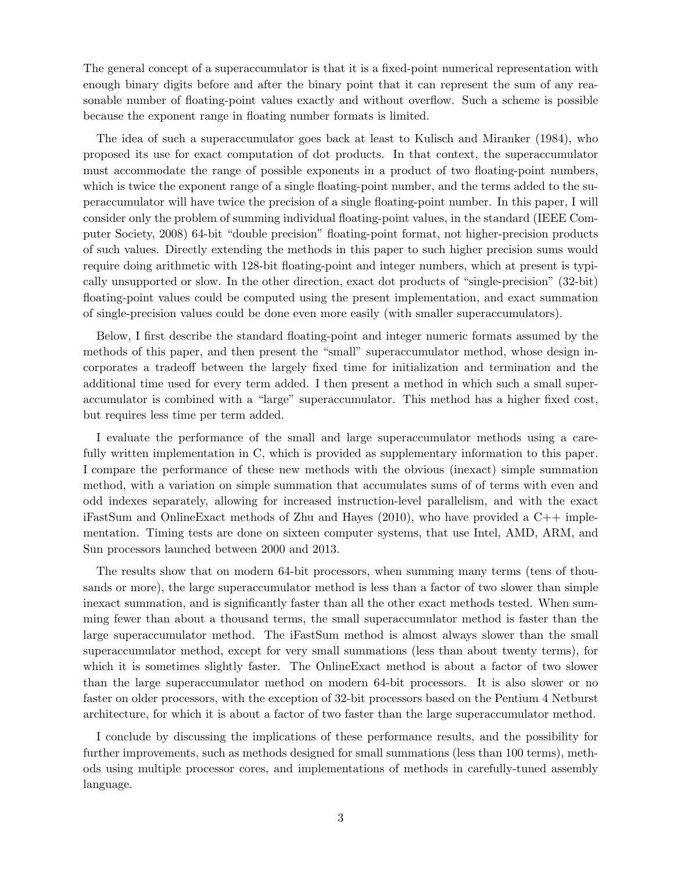The general concept of a superaccumulator is that it is a fixed-point numerical representation with enough binary digits before and after the binary point that it can represent the sum of any reasonable number of floating-point values exactly and without overflow. Such a scheme is possible because the exponent range in floating number formats is limited.

The idea of such a superaccumulator goes back at least to Kulisch and Miranker (1984), who proposed its use for exact computation of dot products. In that context, the superaccumulator must accommodate the range of possible exponents in a product of two floating-point numbers, which is twice the exponent range of a single floating-point number, and the terms added to the superaccumulator will have twice the precision of a single floating-point number. In this paper, I will consider only the problem of summing individual floating-point values, in the standard (IEEE Computer Society, 2008) 64-bit "double precision" floating-point format, not higher-precision products of such values. Directly extending the methods in this paper to such higher precision sums would require doing arithmetic with 128-bit floating-point and integer numbers, which at present is typically unsupported or slow. In the other direction, exact dot products of "single-precision" (32-bit) floating-point values could be computed using the present implementation, and exact summation of single-precision values could be done even more easily (with smaller superaccumulators).

Below, I first describe the standard floating-point and integer numeric formats assumed by the methods of this paper, and then present the "small" superaccumulator method, whose design incorporates a tradeoff between the largely fixed time for initialization and termination and the additional time used for every term added. I then present a method in which such a small superaccumulator is combined with a "large" superaccumulator. This method has a higher fixed cost, but requires less time per term added.

I evaluate the performance of the small and large superaccumulator methods using a carefully written implementation in C, which is provided as supplementary information to this paper. I compare the performance of these new methods with the obvious (inexact) simple summation method, with a variation on simple summation that accumulates sums of of terms with even and odd indexes separately, allowing for increased instruction-level parallelism, and with the exact iFastSum and OnlineExact methods of Zhu and Hayes  $(2010)$ , who have provided a C++ implementation. Timing tests are done on sixteen computer systems, that use Intel, AMD, ARM, and Sun processors launched between 2000 and 2013.

The results show that on modern 64-bit processors, when summing many terms (tens of thousands or more), the large superaccumulator method is less than a factor of two slower than simple inexact summation, and is significantly faster than all the other exact methods tested. When summing fewer than about a thousand terms, the small superaccumulator method is faster than the large superaccumulator method. The iFastSum method is almost always slower than the small superaccumulator method, except for very small summations (less than about twenty terms), for which it is sometimes slightly faster. The OnlineExact method is about a factor of two slower than the large superaccumulator method on modern 64-bit processors. It is also slower or no faster on older processors, with the exception of 32-bit processors based on the Pentium 4 Netburst architecture, for which it is about a factor of two faster than the large superaccumulator method.

I conclude by discussing the implications of these performance results, and the possibility for further improvements, such as methods designed for small summations (less than 100 terms), methods using multiple processor cores, and implementations of methods in carefully-tuned assembly language.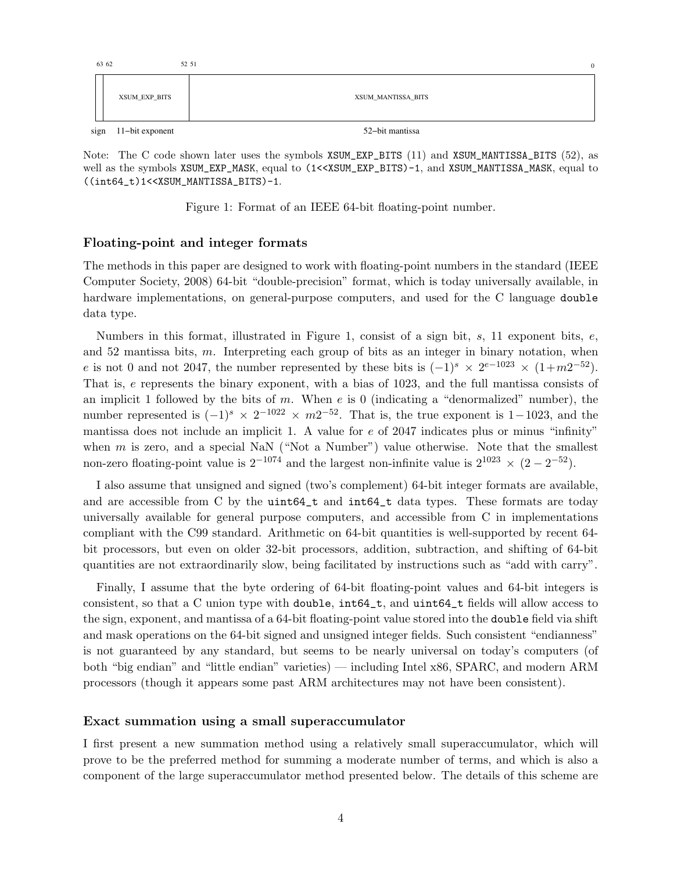| 63 62 |                 | 52 51<br>$\mathbf{0}$ |
|-------|-----------------|-----------------------|
|       | XSUM_EXP_BITS   | XSUM_MANTISSA_BITS    |
| sign  | 11-bit exponent | 52-bit mantissa       |

Note: The C code shown later uses the symbols XSUM\_EXP\_BITS (11) and XSUM\_MANTISSA\_BITS (52), as well as the symbols XSUM\_EXP\_MASK, equal to  $(1<_EXP_BITS)-1, and XSUM_MANTISSA_MASK, equal to$ ((int64\_t)1<<XSUM\_MANTISSA\_BITS)-1.

Figure 1: Format of an IEEE 64-bit floating-point number.

# Floating-point and integer formats

The methods in this paper are designed to work with floating-point numbers in the standard (IEEE Computer Society, 2008) 64-bit "double-precision" format, which is today universally available, in hardware implementations, on general-purpose computers, and used for the C language double data type.

Numbers in this format, illustrated in Figure 1, consist of a sign bit, s, 11 exponent bits,  $e$ , and 52 mantissa bits, m. Interpreting each group of bits as an integer in binary notation, when e is not 0 and not 2047, the number represented by these bits is  $(-1)^s \times 2^{e-1023} \times (1+m2^{-52})$ . That is, e represents the binary exponent, with a bias of 1023, and the full mantissa consists of an implicit 1 followed by the bits of m. When  $e$  is 0 (indicating a "denormalized" number), the number represented is  $(-1)^s \times 2^{-102} \times m2^{-52}$ . That is, the true exponent is 1–1023, and the mantissa does not include an implicit 1. A value for  $e$  of 2047 indicates plus or minus "infinity" when  $m$  is zero, and a special NaN ("Not a Number") value otherwise. Note that the smallest non-zero floating-point value is  $2^{-1074}$  and the largest non-infinite value is  $2^{1023} \times (2 - 2^{-52})$ .

I also assume that unsigned and signed (two's complement) 64-bit integer formats are available, and are accessible from C by the uint64\_t and int64\_t data types. These formats are today universally available for general purpose computers, and accessible from C in implementations compliant with the C99 standard. Arithmetic on 64-bit quantities is well-supported by recent 64 bit processors, but even on older 32-bit processors, addition, subtraction, and shifting of 64-bit quantities are not extraordinarily slow, being facilitated by instructions such as "add with carry".

Finally, I assume that the byte ordering of 64-bit floating-point values and 64-bit integers is consistent, so that a C union type with double, int64\_t, and uint64\_t fields will allow access to the sign, exponent, and mantissa of a 64-bit floating-point value stored into the double field via shift and mask operations on the 64-bit signed and unsigned integer fields. Such consistent "endianness" is not guaranteed by any standard, but seems to be nearly universal on today's computers (of both "big endian" and "little endian" varieties) — including Intel x86, SPARC, and modern ARM processors (though it appears some past ARM architectures may not have been consistent).

# Exact summation using a small superaccumulator

I first present a new summation method using a relatively small superaccumulator, which will prove to be the preferred method for summing a moderate number of terms, and which is also a component of the large superaccumulator method presented below. The details of this scheme are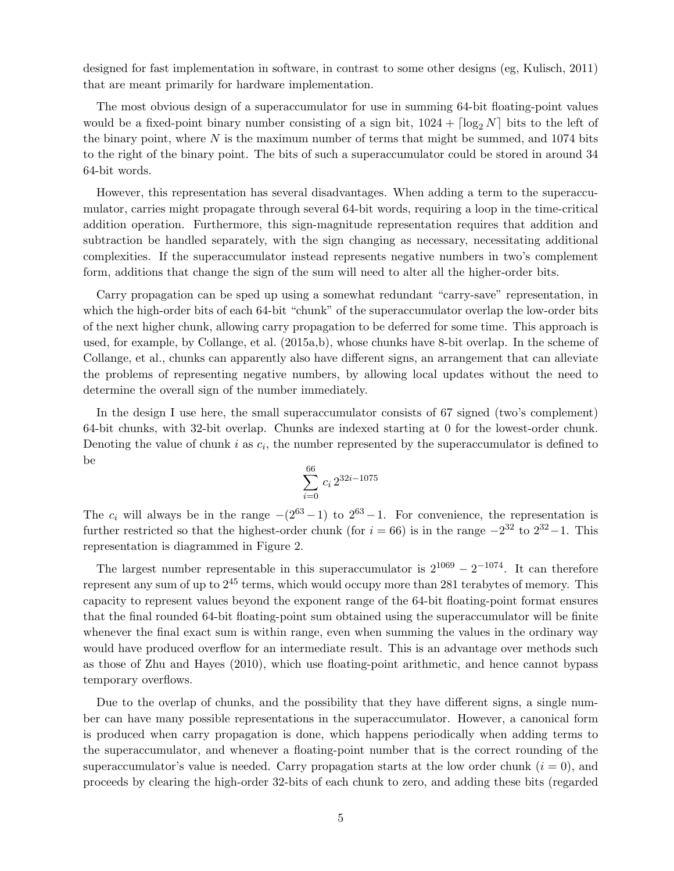designed for fast implementation in software, in contrast to some other designs (eg, Kulisch, 2011) that are meant primarily for hardware implementation.

The most obvious design of a superaccumulator for use in summing 64-bit floating-point values would be a fixed-point binary number consisting of a sign bit,  $1024 + \lfloor \log_2 N \rfloor$  bits to the left of the binary point, where  $N$  is the maximum number of terms that might be summed, and 1074 bits to the right of the binary point. The bits of such a superaccumulator could be stored in around 34 64-bit words.

However, this representation has several disadvantages. When adding a term to the superaccumulator, carries might propagate through several 64-bit words, requiring a loop in the time-critical addition operation. Furthermore, this sign-magnitude representation requires that addition and subtraction be handled separately, with the sign changing as necessary, necessitating additional complexities. If the superaccumulator instead represents negative numbers in two's complement form, additions that change the sign of the sum will need to alter all the higher-order bits.

Carry propagation can be sped up using a somewhat redundant "carry-save" representation, in which the high-order bits of each 64-bit "chunk" of the superaccumulator overlap the low-order bits of the next higher chunk, allowing carry propagation to be deferred for some time. This approach is used, for example, by Collange, et al. (2015a,b), whose chunks have 8-bit overlap. In the scheme of Collange, et al., chunks can apparently also have different signs, an arrangement that can alleviate the problems of representing negative numbers, by allowing local updates without the need to determine the overall sign of the number immediately.

In the design I use here, the small superaccumulator consists of 67 signed (two's complement) 64-bit chunks, with 32-bit overlap. Chunks are indexed starting at 0 for the lowest-order chunk. Denoting the value of chunk  $i$  as  $c_i$ , the number represented by the superaccumulator is defined to be

$$
\sum_{i=0}^{66} c_i 2^{32i-1075}
$$

The  $c_i$  will always be in the range  $-(2^{63}-1)$  to  $2^{63}-1$ . For convenience, the representation is further restricted so that the highest-order chunk (for  $i = 66$ ) is in the range  $-2^{32}$  to  $2^{32}-1$ . This representation is diagrammed in Figure 2.

The largest number representable in this superaccumulator is  $2^{1069} - 2^{-1074}$ . It can therefore represent any sum of up to  $2^{45}$  terms, which would occupy more than 281 terabytes of memory. This capacity to represent values beyond the exponent range of the 64-bit floating-point format ensures that the final rounded 64-bit floating-point sum obtained using the superaccumulator will be finite whenever the final exact sum is within range, even when summing the values in the ordinary way would have produced overflow for an intermediate result. This is an advantage over methods such as those of Zhu and Hayes (2010), which use floating-point arithmetic, and hence cannot bypass temporary overflows.

Due to the overlap of chunks, and the possibility that they have different signs, a single number can have many possible representations in the superaccumulator. However, a canonical form is produced when carry propagation is done, which happens periodically when adding terms to the superaccumulator, and whenever a floating-point number that is the correct rounding of the superaccumulator's value is needed. Carry propagation starts at the low order chunk  $(i = 0)$ , and proceeds by clearing the high-order 32-bits of each chunk to zero, and adding these bits (regarded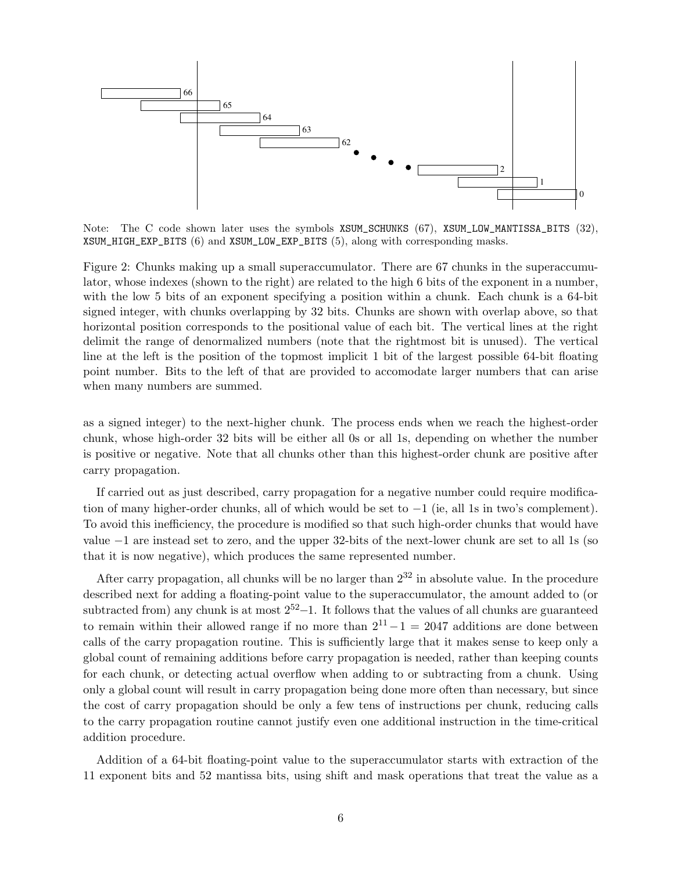

Note: The C code shown later uses the symbols XSUM\_SCHUNKS (67), XSUM\_LOW\_MANTISSA\_BITS (32), XSUM\_HIGH\_EXP\_BITS (6) and XSUM\_LOW\_EXP\_BITS (5), along with corresponding masks.

Figure 2: Chunks making up a small superaccumulator. There are 67 chunks in the superaccumulator, whose indexes (shown to the right) are related to the high 6 bits of the exponent in a number, with the low 5 bits of an exponent specifying a position within a chunk. Each chunk is a 64-bit signed integer, with chunks overlapping by 32 bits. Chunks are shown with overlap above, so that horizontal position corresponds to the positional value of each bit. The vertical lines at the right delimit the range of denormalized numbers (note that the rightmost bit is unused). The vertical line at the left is the position of the topmost implicit 1 bit of the largest possible 64-bit floating point number. Bits to the left of that are provided to accomodate larger numbers that can arise when many numbers are summed.

as a signed integer) to the next-higher chunk. The process ends when we reach the highest-order chunk, whose high-order 32 bits will be either all 0s or all 1s, depending on whether the number is positive or negative. Note that all chunks other than this highest-order chunk are positive after carry propagation.

If carried out as just described, carry propagation for a negative number could require modification of many higher-order chunks, all of which would be set to  $-1$  (ie, all 1s in two's complement). To avoid this inefficiency, the procedure is modified so that such high-order chunks that would have value −1 are instead set to zero, and the upper 32-bits of the next-lower chunk are set to all 1s (so that it is now negative), which produces the same represented number.

After carry propagation, all chunks will be no larger than  $2^{32}$  in absolute value. In the procedure described next for adding a floating-point value to the superaccumulator, the amount added to (or subtracted from) any chunk is at most  $2^{52}-1$ . It follows that the values of all chunks are guaranteed to remain within their allowed range if no more than  $2^{11}-1 = 2047$  additions are done between calls of the carry propagation routine. This is sufficiently large that it makes sense to keep only a global count of remaining additions before carry propagation is needed, rather than keeping counts for each chunk, or detecting actual overflow when adding to or subtracting from a chunk. Using only a global count will result in carry propagation being done more often than necessary, but since the cost of carry propagation should be only a few tens of instructions per chunk, reducing calls to the carry propagation routine cannot justify even one additional instruction in the time-critical addition procedure.

Addition of a 64-bit floating-point value to the superaccumulator starts with extraction of the 11 exponent bits and 52 mantissa bits, using shift and mask operations that treat the value as a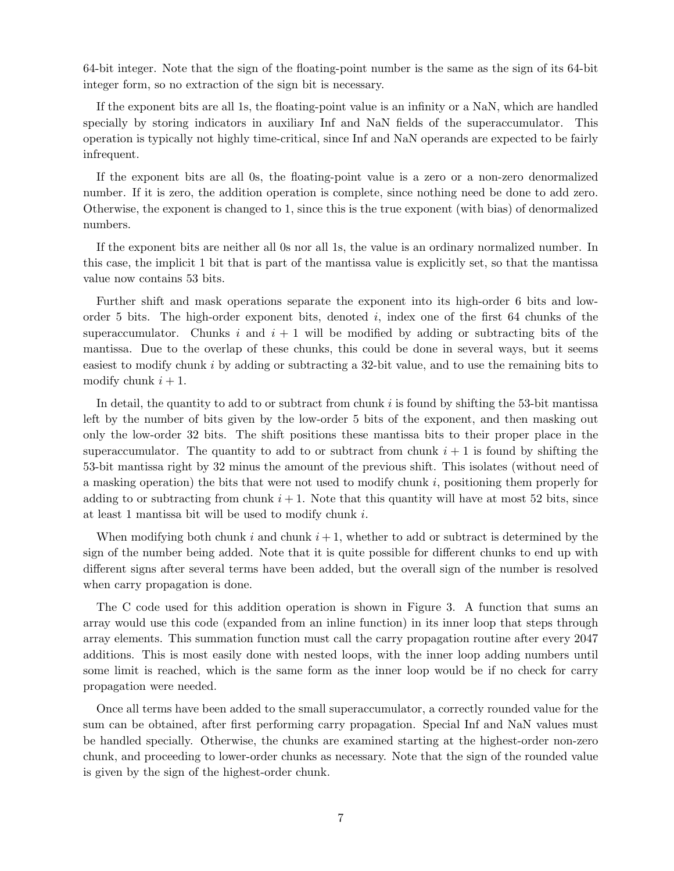64-bit integer. Note that the sign of the floating-point number is the same as the sign of its 64-bit integer form, so no extraction of the sign bit is necessary.

If the exponent bits are all 1s, the floating-point value is an infinity or a NaN, which are handled specially by storing indicators in auxiliary Inf and NaN fields of the superaccumulator. This operation is typically not highly time-critical, since Inf and NaN operands are expected to be fairly infrequent.

If the exponent bits are all 0s, the floating-point value is a zero or a non-zero denormalized number. If it is zero, the addition operation is complete, since nothing need be done to add zero. Otherwise, the exponent is changed to 1, since this is the true exponent (with bias) of denormalized numbers.

If the exponent bits are neither all 0s nor all 1s, the value is an ordinary normalized number. In this case, the implicit 1 bit that is part of the mantissa value is explicitly set, so that the mantissa value now contains 53 bits.

Further shift and mask operations separate the exponent into its high-order 6 bits and loworder 5 bits. The high-order exponent bits, denoted  $i$ , index one of the first 64 chunks of the superaccumulator. Chunks i and  $i + 1$  will be modified by adding or subtracting bits of the mantissa. Due to the overlap of these chunks, this could be done in several ways, but it seems easiest to modify chunk i by adding or subtracting a 32-bit value, and to use the remaining bits to modify chunk  $i + 1$ .

In detail, the quantity to add to or subtract from chunk  $i$  is found by shifting the 53-bit mantissa left by the number of bits given by the low-order 5 bits of the exponent, and then masking out only the low-order 32 bits. The shift positions these mantissa bits to their proper place in the superaccumulator. The quantity to add to or subtract from chunk  $i + 1$  is found by shifting the 53-bit mantissa right by 32 minus the amount of the previous shift. This isolates (without need of a masking operation) the bits that were not used to modify chunk  $i$ , positioning them properly for adding to or subtracting from chunk  $i + 1$ . Note that this quantity will have at most 52 bits, since at least 1 mantissa bit will be used to modify chunk i.

When modifying both chunk i and chunk  $i + 1$ , whether to add or subtract is determined by the sign of the number being added. Note that it is quite possible for different chunks to end up with different signs after several terms have been added, but the overall sign of the number is resolved when carry propagation is done.

The C code used for this addition operation is shown in Figure 3. A function that sums an array would use this code (expanded from an inline function) in its inner loop that steps through array elements. This summation function must call the carry propagation routine after every 2047 additions. This is most easily done with nested loops, with the inner loop adding numbers until some limit is reached, which is the same form as the inner loop would be if no check for carry propagation were needed.

Once all terms have been added to the small superaccumulator, a correctly rounded value for the sum can be obtained, after first performing carry propagation. Special Inf and NaN values must be handled specially. Otherwise, the chunks are examined starting at the highest-order non-zero chunk, and proceeding to lower-order chunks as necessary. Note that the sign of the rounded value is given by the sign of the highest-order chunk.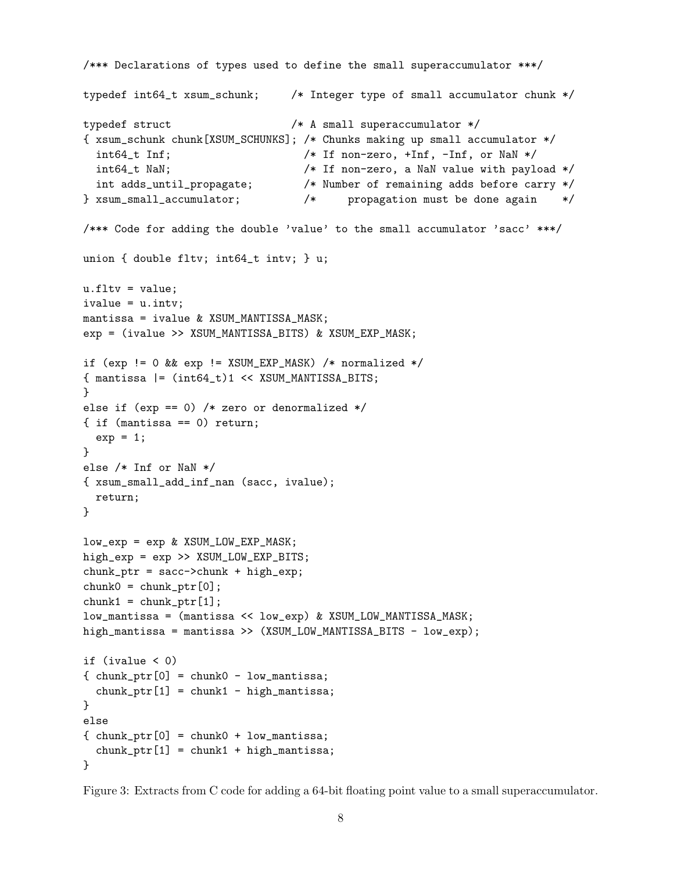```
/*** Declarations of types used to define the small superaccumulator ***/
typedef int64_t xsum_schunk; /* Integer type of small accumulator chunk */
typedef struct /* A small superaccumulator */
{ xsum_schunk chunk[XSUM_SCHUNKS]; /* Chunks making up small accumulator */
  int64<sub>_t</sub> Inf; \frac{1}{x} /* If non-zero, +Inf, -Inf, or NaN */
 int64_t NaN; \overline{\phantom{a}} /* If non-zero, a NaN value with payload */
  int adds_until_propagate; /* Number of remaining adds before carry */
} xsum_small_accumulator; /* propagation must be done again */
/*** Code for adding the double 'value' to the small accumulator 'sacc' ***/
union { double fltv; int64_t intv; } u;
u.fltv = value;ivalue = u.intv;
mantissa = ivalue & XSUM_MANTISSA_MASK;
exp = (ivalue >> XSUM_MANTISSA_BITS) & XSUM_EXP_MASK;
if (exp != 0 && exp != XSUM_EXP_MASK) /* normalized */
{math> mantissa |= (int64_t)<math>1</math> << XSUM_MANTISSA_BITS;
}
else if (exp == 0) /* zero or denormalized */{ if (mantissa == 0) return;
  exp = 1;
}
else /* Inf or NaN */
{ xsum_small_add_inf_nan (sacc, ivalue);
 return;
}
low_exp = exp & XSUM_LOW_EXP_MASK;
high_exp = exp >> XSUM_LOW_EXP_BITS;
chunk_ptr = sacc->chunk + high_exp;
chunk0 = chunk\_ptr[0];chunk1 = chunk_ptr[1];low_mantissa = (mantissa << low_exp) & XSUM_LOW_MANTISSA_MASK;
high_mantissa = mantissa >> (XSUM_LOW_MANTISSA_BITS - low_exp);
if (ivalue < 0)
\{ chunk_ptr[0] = chunk0 - low_mantissa;
  chunk_ptr[1] = chunk1 - high_mantissa;}
else
{ display <math>chunk\_ptr[0] = chunk0 + low\_mantissa;</math>
  chunk_ptr[1] = chunk1 + high_mantissa;}
```
Figure 3: Extracts from C code for adding a 64-bit floating point value to a small superaccumulator.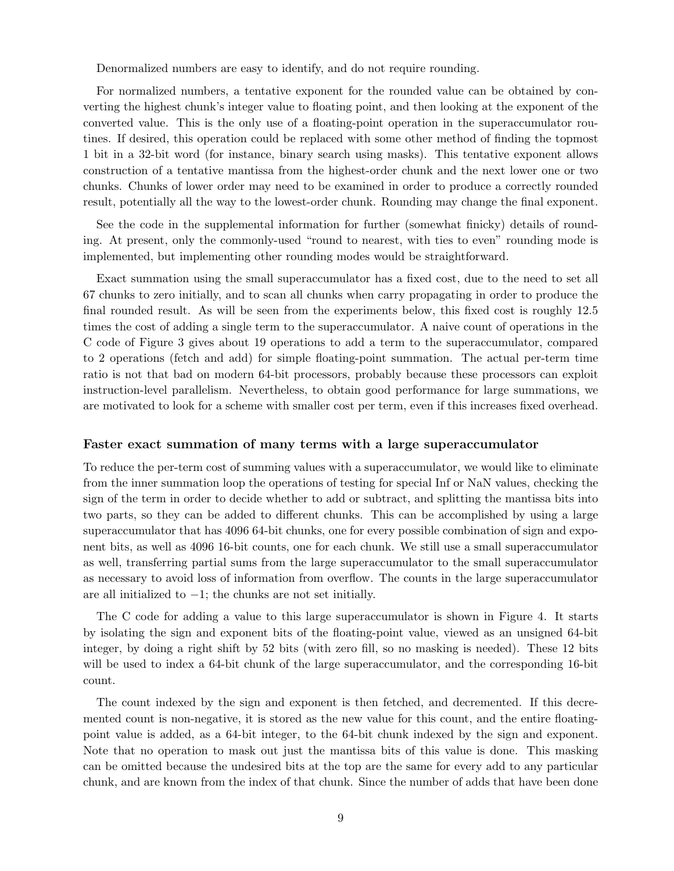Denormalized numbers are easy to identify, and do not require rounding.

For normalized numbers, a tentative exponent for the rounded value can be obtained by converting the highest chunk's integer value to floating point, and then looking at the exponent of the converted value. This is the only use of a floating-point operation in the superaccumulator routines. If desired, this operation could be replaced with some other method of finding the topmost 1 bit in a 32-bit word (for instance, binary search using masks). This tentative exponent allows construction of a tentative mantissa from the highest-order chunk and the next lower one or two chunks. Chunks of lower order may need to be examined in order to produce a correctly rounded result, potentially all the way to the lowest-order chunk. Rounding may change the final exponent.

See the code in the supplemental information for further (somewhat finicky) details of rounding. At present, only the commonly-used "round to nearest, with ties to even" rounding mode is implemented, but implementing other rounding modes would be straightforward.

Exact summation using the small superaccumulator has a fixed cost, due to the need to set all 67 chunks to zero initially, and to scan all chunks when carry propagating in order to produce the final rounded result. As will be seen from the experiments below, this fixed cost is roughly 12.5 times the cost of adding a single term to the superaccumulator. A naive count of operations in the C code of Figure 3 gives about 19 operations to add a term to the superaccumulator, compared to 2 operations (fetch and add) for simple floating-point summation. The actual per-term time ratio is not that bad on modern 64-bit processors, probably because these processors can exploit instruction-level parallelism. Nevertheless, to obtain good performance for large summations, we are motivated to look for a scheme with smaller cost per term, even if this increases fixed overhead.

#### Faster exact summation of many terms with a large superaccumulator

To reduce the per-term cost of summing values with a superaccumulator, we would like to eliminate from the inner summation loop the operations of testing for special Inf or NaN values, checking the sign of the term in order to decide whether to add or subtract, and splitting the mantissa bits into two parts, so they can be added to different chunks. This can be accomplished by using a large superaccumulator that has 4096 64-bit chunks, one for every possible combination of sign and exponent bits, as well as 4096 16-bit counts, one for each chunk. We still use a small superaccumulator as well, transferring partial sums from the large superaccumulator to the small superaccumulator as necessary to avoid loss of information from overflow. The counts in the large superaccumulator are all initialized to −1; the chunks are not set initially.

The C code for adding a value to this large superaccumulator is shown in Figure 4. It starts by isolating the sign and exponent bits of the floating-point value, viewed as an unsigned 64-bit integer, by doing a right shift by 52 bits (with zero fill, so no masking is needed). These 12 bits will be used to index a 64-bit chunk of the large superaccumulator, and the corresponding 16-bit count.

The count indexed by the sign and exponent is then fetched, and decremented. If this decremented count is non-negative, it is stored as the new value for this count, and the entire floatingpoint value is added, as a 64-bit integer, to the 64-bit chunk indexed by the sign and exponent. Note that no operation to mask out just the mantissa bits of this value is done. This masking can be omitted because the undesired bits at the top are the same for every add to any particular chunk, and are known from the index of that chunk. Since the number of adds that have been done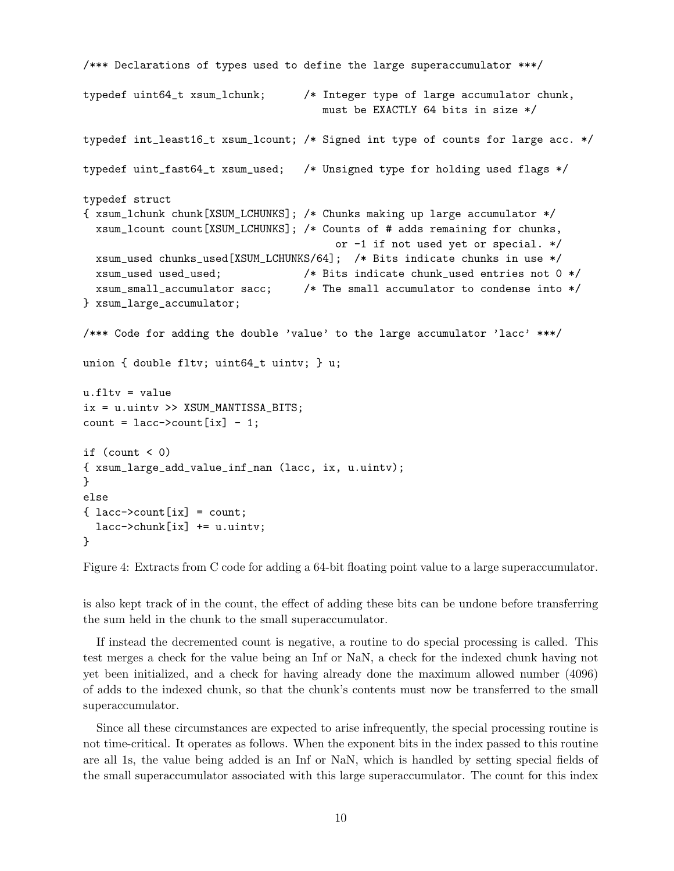```
/*** Declarations of types used to define the large superaccumulator ***/
typedef uint64_t xsum_lchunk; /* Integer type of large accumulator chunk,
                                     must be EXACTLY 64 bits in size */
typedef int_least16_t xsum_lcount; /* Signed int type of counts for large acc. */
typedef uint_fast64_t xsum_used; /* Unsigned type for holding used flags */
typedef struct
{ xsum_lchunk chunk[XSUM_LCHUNKS]; /* Chunks making up large accumulator */
 xsum_lcount count[XSUM_LCHUNKS]; /* Counts of # adds remaining for chunks,
                                       or -1 if not used yet or special. */
 xsum_used chunks_used[XSUM_LCHUNKS/64]; /* Bits indicate chunks in use */
 xsum_used used_used; /* Bits indicate chunk_used entries not 0 */
 xsum_small_accumulator sacc; /* The small accumulator to condense into */
} xsum_large_accumulator;
/*** Code for adding the double 'value' to the large accumulator 'lacc' ***/
union { double fltv; uint64_t uintv; } u;
u.fltv = value
ix = u.uintv >> XSUM_MANTISSA_BITS;
count = lacc->count[ix] - 1;if (count < 0){ xsum_large_add_value_inf_nan (lacc, ix, u.uintv);
}
else
\{ lacc->count [ix] = count;lacc->chunk[ix] += u.uintv;}
```
Figure 4: Extracts from C code for adding a 64-bit floating point value to a large superaccumulator.

is also kept track of in the count, the effect of adding these bits can be undone before transferring the sum held in the chunk to the small superaccumulator.

If instead the decremented count is negative, a routine to do special processing is called. This test merges a check for the value being an Inf or NaN, a check for the indexed chunk having not yet been initialized, and a check for having already done the maximum allowed number (4096) of adds to the indexed chunk, so that the chunk's contents must now be transferred to the small superaccumulator.

Since all these circumstances are expected to arise infrequently, the special processing routine is not time-critical. It operates as follows. When the exponent bits in the index passed to this routine are all 1s, the value being added is an Inf or NaN, which is handled by setting special fields of the small superaccumulator associated with this large superaccumulator. The count for this index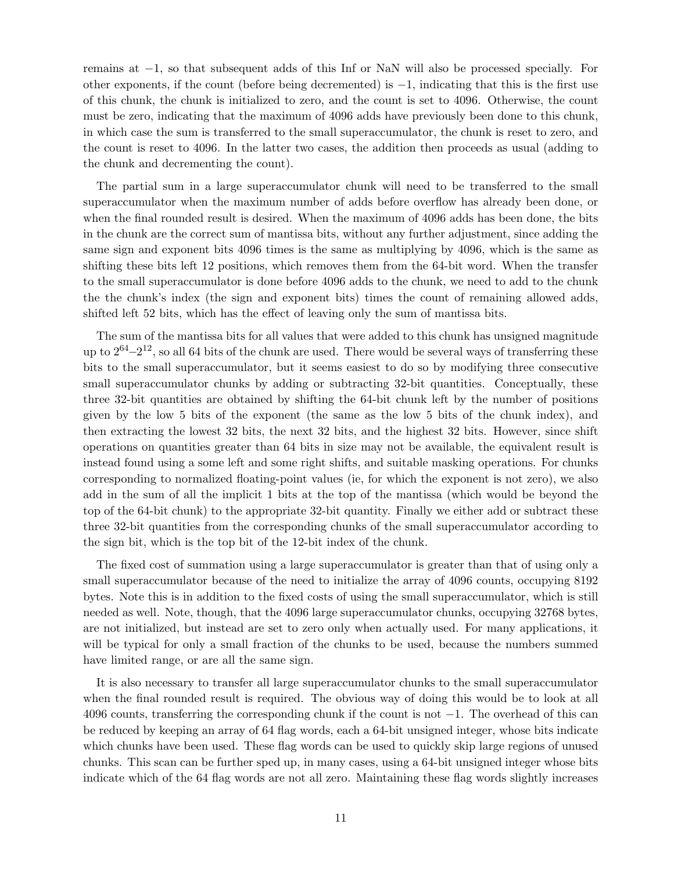remains at −1, so that subsequent adds of this Inf or NaN will also be processed specially. For other exponents, if the count (before being decremented) is −1, indicating that this is the first use of this chunk, the chunk is initialized to zero, and the count is set to 4096. Otherwise, the count must be zero, indicating that the maximum of 4096 adds have previously been done to this chunk, in which case the sum is transferred to the small superaccumulator, the chunk is reset to zero, and the count is reset to 4096. In the latter two cases, the addition then proceeds as usual (adding to the chunk and decrementing the count).

The partial sum in a large superaccumulator chunk will need to be transferred to the small superaccumulator when the maximum number of adds before overflow has already been done, or when the final rounded result is desired. When the maximum of 4096 adds has been done, the bits in the chunk are the correct sum of mantissa bits, without any further adjustment, since adding the same sign and exponent bits 4096 times is the same as multiplying by 4096, which is the same as shifting these bits left 12 positions, which removes them from the 64-bit word. When the transfer to the small superaccumulator is done before 4096 adds to the chunk, we need to add to the chunk the the chunk's index (the sign and exponent bits) times the count of remaining allowed adds, shifted left 52 bits, which has the effect of leaving only the sum of mantissa bits.

The sum of the mantissa bits for all values that were added to this chunk has unsigned magnitude up to  $2^{64}-2^{12}$ , so all 64 bits of the chunk are used. There would be several ways of transferring these bits to the small superaccumulator, but it seems easiest to do so by modifying three consecutive small superaccumulator chunks by adding or subtracting 32-bit quantities. Conceptually, these three 32-bit quantities are obtained by shifting the 64-bit chunk left by the number of positions given by the low 5 bits of the exponent (the same as the low 5 bits of the chunk index), and then extracting the lowest 32 bits, the next 32 bits, and the highest 32 bits. However, since shift operations on quantities greater than 64 bits in size may not be available, the equivalent result is instead found using a some left and some right shifts, and suitable masking operations. For chunks corresponding to normalized floating-point values (ie, for which the exponent is not zero), we also add in the sum of all the implicit 1 bits at the top of the mantissa (which would be beyond the top of the 64-bit chunk) to the appropriate 32-bit quantity. Finally we either add or subtract these three 32-bit quantities from the corresponding chunks of the small superaccumulator according to the sign bit, which is the top bit of the 12-bit index of the chunk.

The fixed cost of summation using a large superaccumulator is greater than that of using only a small superaccumulator because of the need to initialize the array of 4096 counts, occupying 8192 bytes. Note this is in addition to the fixed costs of using the small superaccumulator, which is still needed as well. Note, though, that the 4096 large superaccumulator chunks, occupying 32768 bytes, are not initialized, but instead are set to zero only when actually used. For many applications, it will be typical for only a small fraction of the chunks to be used, because the numbers summed have limited range, or are all the same sign.

It is also necessary to transfer all large superaccumulator chunks to the small superaccumulator when the final rounded result is required. The obvious way of doing this would be to look at all 4096 counts, transferring the corresponding chunk if the count is not −1. The overhead of this can be reduced by keeping an array of 64 flag words, each a 64-bit unsigned integer, whose bits indicate which chunks have been used. These flag words can be used to quickly skip large regions of unused chunks. This scan can be further sped up, in many cases, using a 64-bit unsigned integer whose bits indicate which of the 64 flag words are not all zero. Maintaining these flag words slightly increases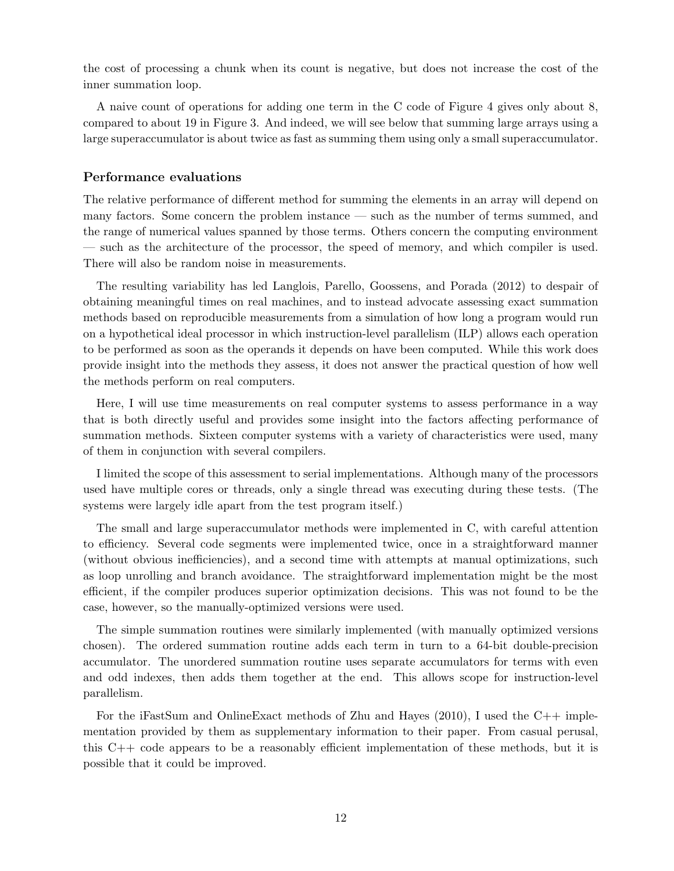the cost of processing a chunk when its count is negative, but does not increase the cost of the inner summation loop.

A naive count of operations for adding one term in the C code of Figure 4 gives only about 8, compared to about 19 in Figure 3. And indeed, we will see below that summing large arrays using a large superaccumulator is about twice as fast as summing them using only a small superaccumulator.

## Performance evaluations

The relative performance of different method for summing the elements in an array will depend on many factors. Some concern the problem instance — such as the number of terms summed, and the range of numerical values spanned by those terms. Others concern the computing environment — such as the architecture of the processor, the speed of memory, and which compiler is used. There will also be random noise in measurements.

The resulting variability has led Langlois, Parello, Goossens, and Porada (2012) to despair of obtaining meaningful times on real machines, and to instead advocate assessing exact summation methods based on reproducible measurements from a simulation of how long a program would run on a hypothetical ideal processor in which instruction-level parallelism (ILP) allows each operation to be performed as soon as the operands it depends on have been computed. While this work does provide insight into the methods they assess, it does not answer the practical question of how well the methods perform on real computers.

Here, I will use time measurements on real computer systems to assess performance in a way that is both directly useful and provides some insight into the factors affecting performance of summation methods. Sixteen computer systems with a variety of characteristics were used, many of them in conjunction with several compilers.

I limited the scope of this assessment to serial implementations. Although many of the processors used have multiple cores or threads, only a single thread was executing during these tests. (The systems were largely idle apart from the test program itself.)

The small and large superaccumulator methods were implemented in C, with careful attention to efficiency. Several code segments were implemented twice, once in a straightforward manner (without obvious inefficiencies), and a second time with attempts at manual optimizations, such as loop unrolling and branch avoidance. The straightforward implementation might be the most efficient, if the compiler produces superior optimization decisions. This was not found to be the case, however, so the manually-optimized versions were used.

The simple summation routines were similarly implemented (with manually optimized versions chosen). The ordered summation routine adds each term in turn to a 64-bit double-precision accumulator. The unordered summation routine uses separate accumulators for terms with even and odd indexes, then adds them together at the end. This allows scope for instruction-level parallelism.

For the iFastSum and OnlineExact methods of Zhu and Hayes (2010), I used the C++ implementation provided by them as supplementary information to their paper. From casual perusal, this C++ code appears to be a reasonably efficient implementation of these methods, but it is possible that it could be improved.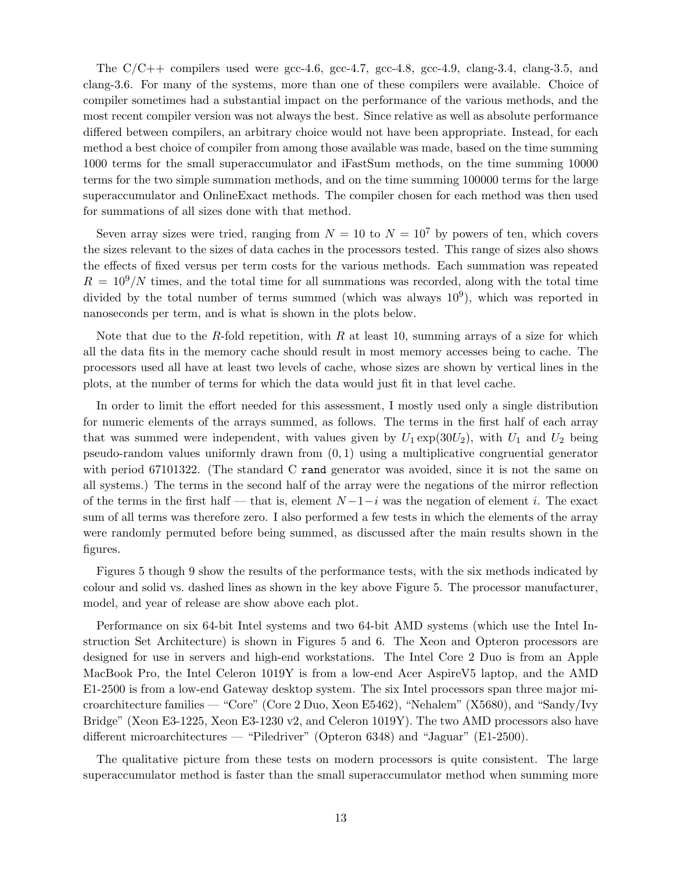The  $C/C++$  compilers used were gcc-4.6, gcc-4.7, gcc-4.8, gcc-4.9, clang-3.4, clang-3.5, and clang-3.6. For many of the systems, more than one of these compilers were available. Choice of compiler sometimes had a substantial impact on the performance of the various methods, and the most recent compiler version was not always the best. Since relative as well as absolute performance differed between compilers, an arbitrary choice would not have been appropriate. Instead, for each method a best choice of compiler from among those available was made, based on the time summing 1000 terms for the small superaccumulator and iFastSum methods, on the time summing 10000 terms for the two simple summation methods, and on the time summing 100000 terms for the large superaccumulator and OnlineExact methods. The compiler chosen for each method was then used for summations of all sizes done with that method.

Seven array sizes were tried, ranging from  $N = 10$  to  $N = 10<sup>7</sup>$  by powers of ten, which covers the sizes relevant to the sizes of data caches in the processors tested. This range of sizes also shows the effects of fixed versus per term costs for the various methods. Each summation was repeated  $R = 10<sup>9</sup>/N$  times, and the total time for all summations was recorded, along with the total time divided by the total number of terms summed (which was always  $10^9$ ), which was reported in nanoseconds per term, and is what is shown in the plots below.

Note that due to the R-fold repetition, with R at least 10, summing arrays of a size for which all the data fits in the memory cache should result in most memory accesses being to cache. The processors used all have at least two levels of cache, whose sizes are shown by vertical lines in the plots, at the number of terms for which the data would just fit in that level cache.

In order to limit the effort needed for this assessment, I mostly used only a single distribution for numeric elements of the arrays summed, as follows. The terms in the first half of each array that was summed were independent, with values given by  $U_1 \exp(30U_2)$ , with  $U_1$  and  $U_2$  being pseudo-random values uniformly drawn from  $(0, 1)$  using a multiplicative congruential generator with period 67101322. (The standard C rand generator was avoided, since it is not the same on all systems.) The terms in the second half of the array were the negations of the mirror reflection of the terms in the first half — that is, element  $N-1-i$  was the negation of element i. The exact sum of all terms was therefore zero. I also performed a few tests in which the elements of the array were randomly permuted before being summed, as discussed after the main results shown in the figures.

Figures 5 though 9 show the results of the performance tests, with the six methods indicated by colour and solid vs. dashed lines as shown in the key above Figure 5. The processor manufacturer, model, and year of release are show above each plot.

Performance on six 64-bit Intel systems and two 64-bit AMD systems (which use the Intel Instruction Set Architecture) is shown in Figures 5 and 6. The Xeon and Opteron processors are designed for use in servers and high-end workstations. The Intel Core 2 Duo is from an Apple MacBook Pro, the Intel Celeron 1019Y is from a low-end Acer AspireV5 laptop, and the AMD E1-2500 is from a low-end Gateway desktop system. The six Intel processors span three major microarchitecture families — "Core" (Core 2 Duo, Xeon E5462), "Nehalem" (X5680), and "Sandy/Ivy Bridge" (Xeon E3-1225, Xeon E3-1230 v2, and Celeron 1019Y). The two AMD processors also have different microarchitectures — "Piledriver" (Opteron 6348) and "Jaguar" (E1-2500).

The qualitative picture from these tests on modern processors is quite consistent. The large superaccumulator method is faster than the small superaccumulator method when summing more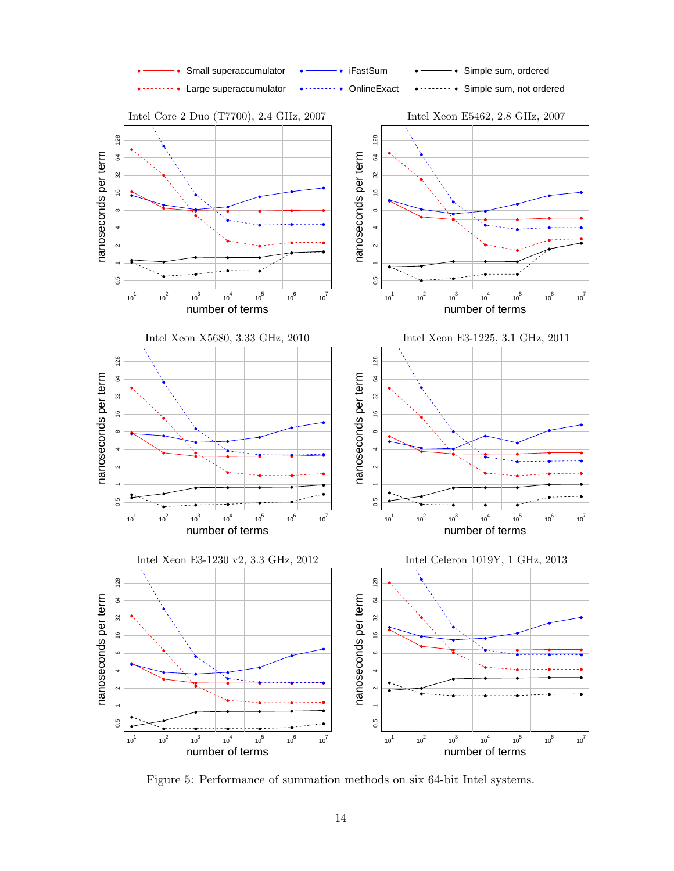

Figure 5: Performance of summation methods on six 64-bit Intel systems.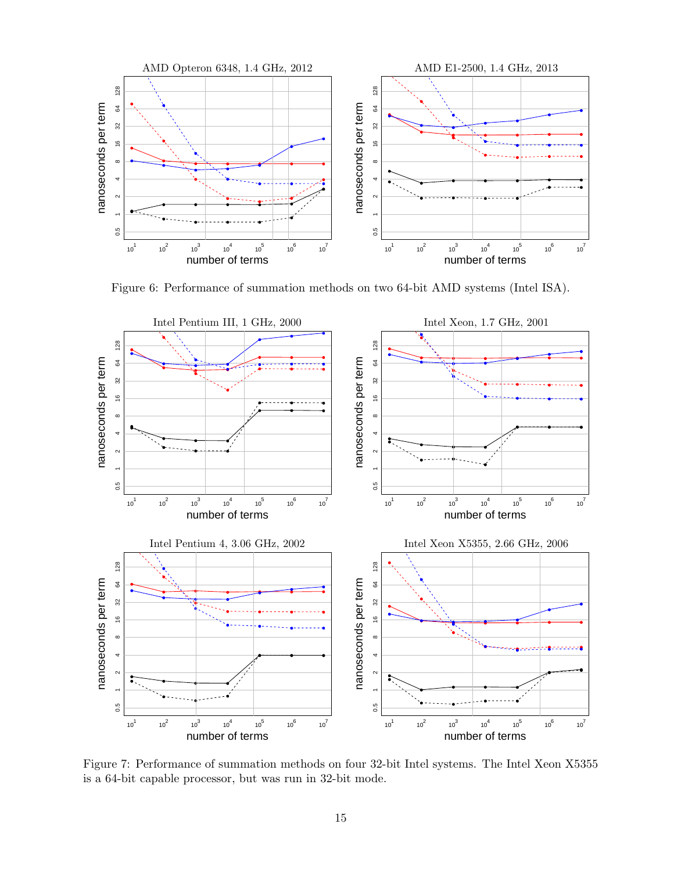

Figure 6: Performance of summation methods on two 64-bit AMD systems (Intel ISA).



Figure 7: Performance of summation methods on four 32-bit Intel systems. The Intel Xeon X5355 is a 64-bit capable processor, but was run in 32-bit mode.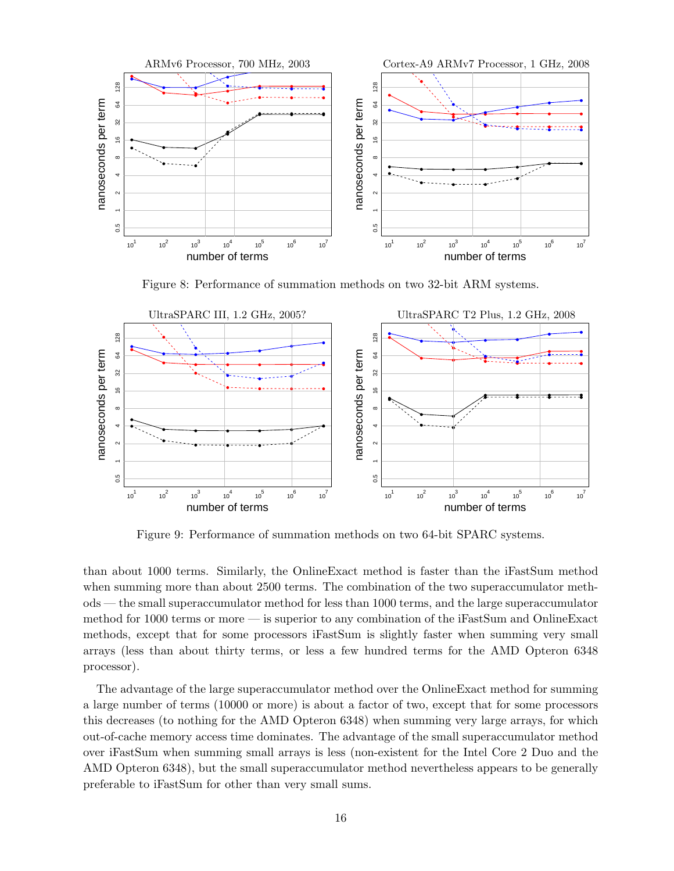

Figure 8: Performance of summation methods on two 32-bit ARM systems.



Figure 9: Performance of summation methods on two 64-bit SPARC systems.

than about 1000 terms. Similarly, the OnlineExact method is faster than the iFastSum method when summing more than about 2500 terms. The combination of the two superaccumulator methods — the small superaccumulator method for less than 1000 terms, and the large superaccumulator method for 1000 terms or more — is superior to any combination of the iFastSum and OnlineExact methods, except that for some processors iFastSum is slightly faster when summing very small arrays (less than about thirty terms, or less a few hundred terms for the AMD Opteron 6348 processor).

The advantage of the large superaccumulator method over the OnlineExact method for summing a large number of terms (10000 or more) is about a factor of two, except that for some processors this decreases (to nothing for the AMD Opteron 6348) when summing very large arrays, for which out-of-cache memory access time dominates. The advantage of the small superaccumulator method over iFastSum when summing small arrays is less (non-existent for the Intel Core 2 Duo and the AMD Opteron 6348), but the small superaccumulator method nevertheless appears to be generally preferable to iFastSum for other than very small sums.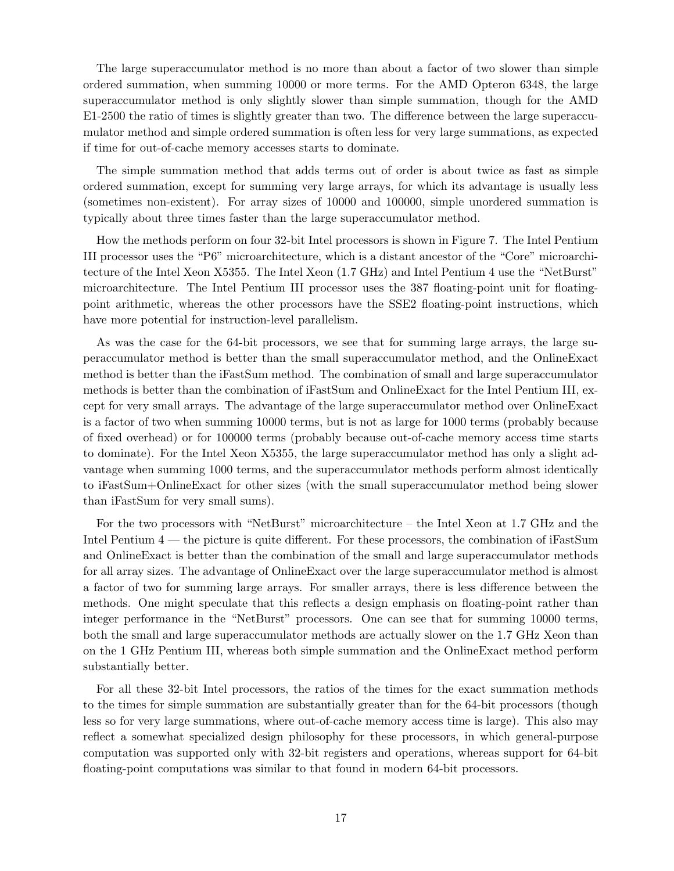The large superaccumulator method is no more than about a factor of two slower than simple ordered summation, when summing 10000 or more terms. For the AMD Opteron 6348, the large superaccumulator method is only slightly slower than simple summation, though for the AMD E1-2500 the ratio of times is slightly greater than two. The difference between the large superaccumulator method and simple ordered summation is often less for very large summations, as expected if time for out-of-cache memory accesses starts to dominate.

The simple summation method that adds terms out of order is about twice as fast as simple ordered summation, except for summing very large arrays, for which its advantage is usually less (sometimes non-existent). For array sizes of 10000 and 100000, simple unordered summation is typically about three times faster than the large superaccumulator method.

How the methods perform on four 32-bit Intel processors is shown in Figure 7. The Intel Pentium III processor uses the "P6" microarchitecture, which is a distant ancestor of the "Core" microarchitecture of the Intel Xeon X5355. The Intel Xeon (1.7 GHz) and Intel Pentium 4 use the "NetBurst" microarchitecture. The Intel Pentium III processor uses the 387 floating-point unit for floatingpoint arithmetic, whereas the other processors have the SSE2 floating-point instructions, which have more potential for instruction-level parallelism.

As was the case for the 64-bit processors, we see that for summing large arrays, the large superaccumulator method is better than the small superaccumulator method, and the OnlineExact method is better than the iFastSum method. The combination of small and large superaccumulator methods is better than the combination of iFastSum and OnlineExact for the Intel Pentium III, except for very small arrays. The advantage of the large superaccumulator method over OnlineExact is a factor of two when summing 10000 terms, but is not as large for 1000 terms (probably because of fixed overhead) or for 100000 terms (probably because out-of-cache memory access time starts to dominate). For the Intel Xeon X5355, the large superaccumulator method has only a slight advantage when summing 1000 terms, and the superaccumulator methods perform almost identically to iFastSum+OnlineExact for other sizes (with the small superaccumulator method being slower than iFastSum for very small sums).

For the two processors with "NetBurst" microarchitecture – the Intel Xeon at 1.7 GHz and the Intel Pentium 4 — the picture is quite different. For these processors, the combination of iFastSum and OnlineExact is better than the combination of the small and large superaccumulator methods for all array sizes. The advantage of OnlineExact over the large superaccumulator method is almost a factor of two for summing large arrays. For smaller arrays, there is less difference between the methods. One might speculate that this reflects a design emphasis on floating-point rather than integer performance in the "NetBurst" processors. One can see that for summing 10000 terms, both the small and large superaccumulator methods are actually slower on the 1.7 GHz Xeon than on the 1 GHz Pentium III, whereas both simple summation and the OnlineExact method perform substantially better.

For all these 32-bit Intel processors, the ratios of the times for the exact summation methods to the times for simple summation are substantially greater than for the 64-bit processors (though less so for very large summations, where out-of-cache memory access time is large). This also may reflect a somewhat specialized design philosophy for these processors, in which general-purpose computation was supported only with 32-bit registers and operations, whereas support for 64-bit floating-point computations was similar to that found in modern 64-bit processors.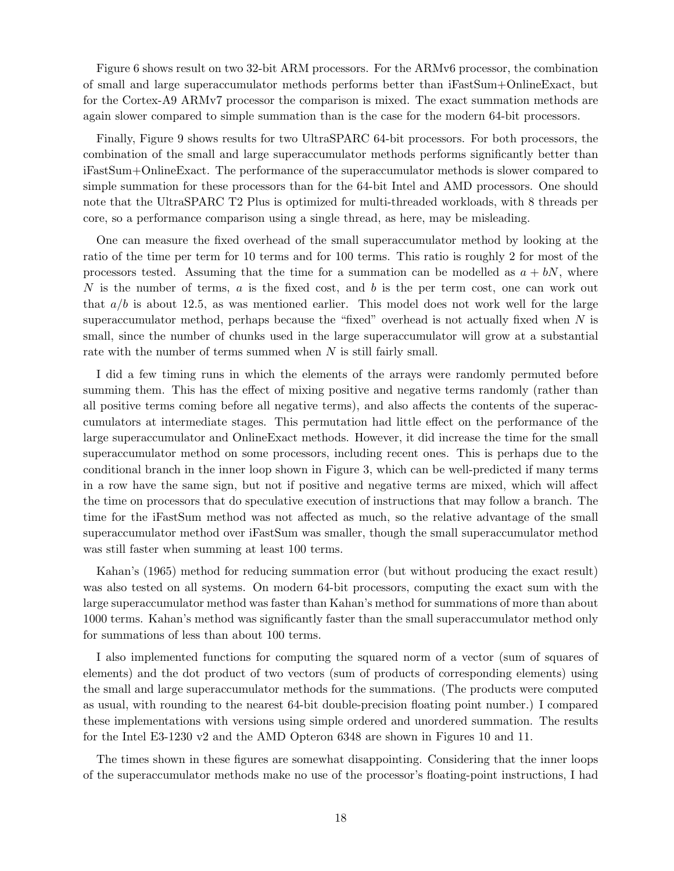Figure 6 shows result on two 32-bit ARM processors. For the ARMv6 processor, the combination of small and large superaccumulator methods performs better than iFastSum+OnlineExact, but for the Cortex-A9 ARMv7 processor the comparison is mixed. The exact summation methods are again slower compared to simple summation than is the case for the modern 64-bit processors.

Finally, Figure 9 shows results for two UltraSPARC 64-bit processors. For both processors, the combination of the small and large superaccumulator methods performs significantly better than iFastSum+OnlineExact. The performance of the superaccumulator methods is slower compared to simple summation for these processors than for the 64-bit Intel and AMD processors. One should note that the UltraSPARC T2 Plus is optimized for multi-threaded workloads, with 8 threads per core, so a performance comparison using a single thread, as here, may be misleading.

One can measure the fixed overhead of the small superaccumulator method by looking at the ratio of the time per term for 10 terms and for 100 terms. This ratio is roughly 2 for most of the processors tested. Assuming that the time for a summation can be modelled as  $a + bN$ , where N is the number of terms, a is the fixed cost, and b is the per term cost, one can work out that  $a/b$  is about 12.5, as was mentioned earlier. This model does not work well for the large superaccumulator method, perhaps because the "fixed" overhead is not actually fixed when  $N$  is small, since the number of chunks used in the large superaccumulator will grow at a substantial rate with the number of terms summed when N is still fairly small.

I did a few timing runs in which the elements of the arrays were randomly permuted before summing them. This has the effect of mixing positive and negative terms randomly (rather than all positive terms coming before all negative terms), and also affects the contents of the superaccumulators at intermediate stages. This permutation had little effect on the performance of the large superaccumulator and OnlineExact methods. However, it did increase the time for the small superaccumulator method on some processors, including recent ones. This is perhaps due to the conditional branch in the inner loop shown in Figure 3, which can be well-predicted if many terms in a row have the same sign, but not if positive and negative terms are mixed, which will affect the time on processors that do speculative execution of instructions that may follow a branch. The time for the iFastSum method was not affected as much, so the relative advantage of the small superaccumulator method over iFastSum was smaller, though the small superaccumulator method was still faster when summing at least 100 terms.

Kahan's (1965) method for reducing summation error (but without producing the exact result) was also tested on all systems. On modern 64-bit processors, computing the exact sum with the large superaccumulator method was faster than Kahan's method for summations of more than about 1000 terms. Kahan's method was significantly faster than the small superaccumulator method only for summations of less than about 100 terms.

I also implemented functions for computing the squared norm of a vector (sum of squares of elements) and the dot product of two vectors (sum of products of corresponding elements) using the small and large superaccumulator methods for the summations. (The products were computed as usual, with rounding to the nearest 64-bit double-precision floating point number.) I compared these implementations with versions using simple ordered and unordered summation. The results for the Intel E3-1230 v2 and the AMD Opteron 6348 are shown in Figures 10 and 11.

The times shown in these figures are somewhat disappointing. Considering that the inner loops of the superaccumulator methods make no use of the processor's floating-point instructions, I had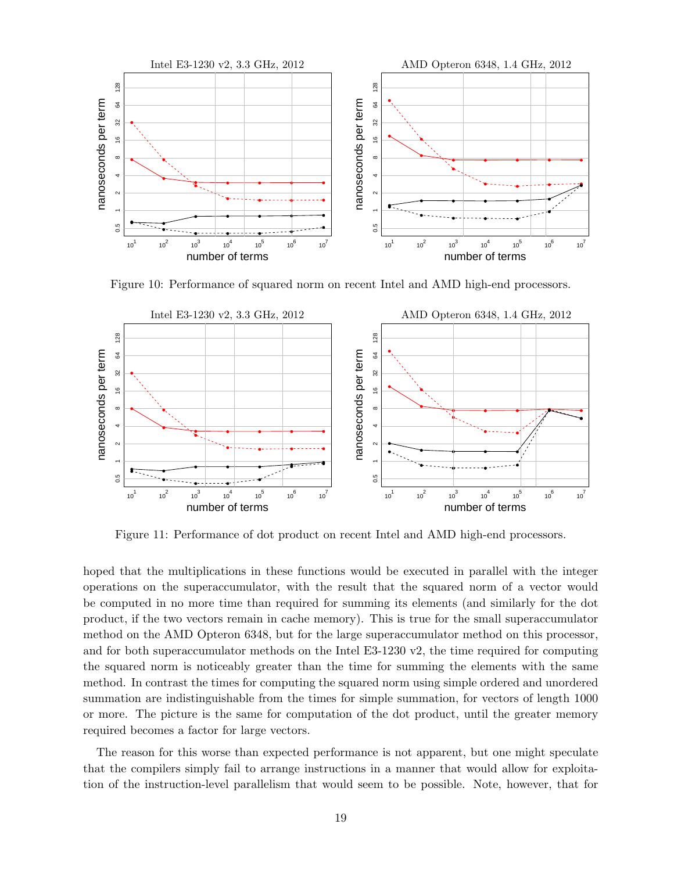

Figure 10: Performance of squared norm on recent Intel and AMD high-end processors.



Figure 11: Performance of dot product on recent Intel and AMD high-end processors.

hoped that the multiplications in these functions would be executed in parallel with the integer operations on the superaccumulator, with the result that the squared norm of a vector would be computed in no more time than required for summing its elements (and similarly for the dot product, if the two vectors remain in cache memory). This is true for the small superaccumulator method on the AMD Opteron 6348, but for the large superaccumulator method on this processor, and for both superaccumulator methods on the Intel E3-1230 v2, the time required for computing the squared norm is noticeably greater than the time for summing the elements with the same method. In contrast the times for computing the squared norm using simple ordered and unordered summation are indistinguishable from the times for simple summation, for vectors of length 1000 or more. The picture is the same for computation of the dot product, until the greater memory required becomes a factor for large vectors.

The reason for this worse than expected performance is not apparent, but one might speculate that the compilers simply fail to arrange instructions in a manner that would allow for exploitation of the instruction-level parallelism that would seem to be possible. Note, however, that for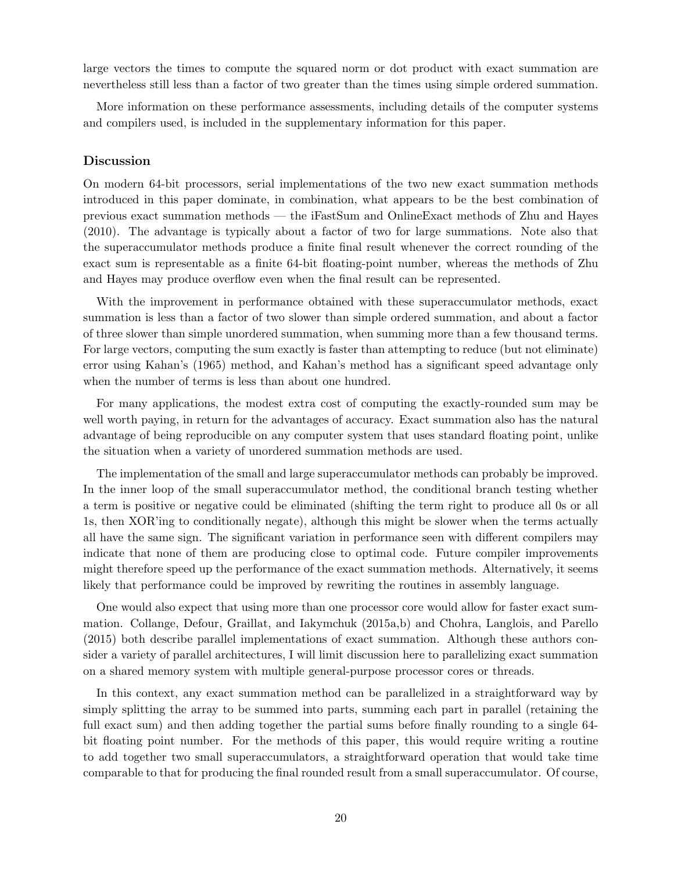large vectors the times to compute the squared norm or dot product with exact summation are nevertheless still less than a factor of two greater than the times using simple ordered summation.

More information on these performance assessments, including details of the computer systems and compilers used, is included in the supplementary information for this paper.

#### Discussion

On modern 64-bit processors, serial implementations of the two new exact summation methods introduced in this paper dominate, in combination, what appears to be the best combination of previous exact summation methods — the iFastSum and OnlineExact methods of Zhu and Hayes (2010). The advantage is typically about a factor of two for large summations. Note also that the superaccumulator methods produce a finite final result whenever the correct rounding of the exact sum is representable as a finite 64-bit floating-point number, whereas the methods of Zhu and Hayes may produce overflow even when the final result can be represented.

With the improvement in performance obtained with these superaccumulator methods, exact summation is less than a factor of two slower than simple ordered summation, and about a factor of three slower than simple unordered summation, when summing more than a few thousand terms. For large vectors, computing the sum exactly is faster than attempting to reduce (but not eliminate) error using Kahan's (1965) method, and Kahan's method has a significant speed advantage only when the number of terms is less than about one hundred.

For many applications, the modest extra cost of computing the exactly-rounded sum may be well worth paying, in return for the advantages of accuracy. Exact summation also has the natural advantage of being reproducible on any computer system that uses standard floating point, unlike the situation when a variety of unordered summation methods are used.

The implementation of the small and large superaccumulator methods can probably be improved. In the inner loop of the small superaccumulator method, the conditional branch testing whether a term is positive or negative could be eliminated (shifting the term right to produce all 0s or all 1s, then XOR'ing to conditionally negate), although this might be slower when the terms actually all have the same sign. The significant variation in performance seen with different compilers may indicate that none of them are producing close to optimal code. Future compiler improvements might therefore speed up the performance of the exact summation methods. Alternatively, it seems likely that performance could be improved by rewriting the routines in assembly language.

One would also expect that using more than one processor core would allow for faster exact summation. Collange, Defour, Graillat, and Iakymchuk (2015a,b) and Chohra, Langlois, and Parello (2015) both describe parallel implementations of exact summation. Although these authors consider a variety of parallel architectures, I will limit discussion here to parallelizing exact summation on a shared memory system with multiple general-purpose processor cores or threads.

In this context, any exact summation method can be parallelized in a straightforward way by simply splitting the array to be summed into parts, summing each part in parallel (retaining the full exact sum) and then adding together the partial sums before finally rounding to a single 64 bit floating point number. For the methods of this paper, this would require writing a routine to add together two small superaccumulators, a straightforward operation that would take time comparable to that for producing the final rounded result from a small superaccumulator. Of course,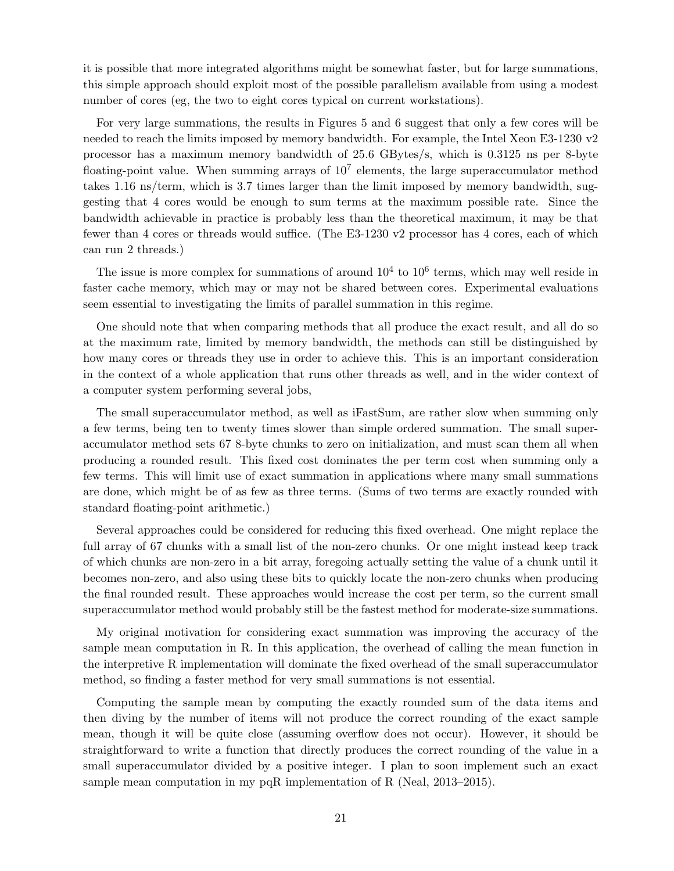it is possible that more integrated algorithms might be somewhat faster, but for large summations, this simple approach should exploit most of the possible parallelism available from using a modest number of cores (eg, the two to eight cores typical on current workstations).

For very large summations, the results in Figures 5 and 6 suggest that only a few cores will be needed to reach the limits imposed by memory bandwidth. For example, the Intel Xeon E3-1230 v2 processor has a maximum memory bandwidth of 25.6 GBytes/s, which is 0.3125 ns per 8-byte floating-point value. When summing arrays of  $10<sup>7</sup>$  elements, the large superaccumulator method takes 1.16 ns/term, which is 3.7 times larger than the limit imposed by memory bandwidth, suggesting that 4 cores would be enough to sum terms at the maximum possible rate. Since the bandwidth achievable in practice is probably less than the theoretical maximum, it may be that fewer than 4 cores or threads would suffice. (The E3-1230 v2 processor has 4 cores, each of which can run 2 threads.)

The issue is more complex for summations of around  $10^4$  to  $10^6$  terms, which may well reside in faster cache memory, which may or may not be shared between cores. Experimental evaluations seem essential to investigating the limits of parallel summation in this regime.

One should note that when comparing methods that all produce the exact result, and all do so at the maximum rate, limited by memory bandwidth, the methods can still be distinguished by how many cores or threads they use in order to achieve this. This is an important consideration in the context of a whole application that runs other threads as well, and in the wider context of a computer system performing several jobs,

The small superaccumulator method, as well as iFastSum, are rather slow when summing only a few terms, being ten to twenty times slower than simple ordered summation. The small superaccumulator method sets 67 8-byte chunks to zero on initialization, and must scan them all when producing a rounded result. This fixed cost dominates the per term cost when summing only a few terms. This will limit use of exact summation in applications where many small summations are done, which might be of as few as three terms. (Sums of two terms are exactly rounded with standard floating-point arithmetic.)

Several approaches could be considered for reducing this fixed overhead. One might replace the full array of 67 chunks with a small list of the non-zero chunks. Or one might instead keep track of which chunks are non-zero in a bit array, foregoing actually setting the value of a chunk until it becomes non-zero, and also using these bits to quickly locate the non-zero chunks when producing the final rounded result. These approaches would increase the cost per term, so the current small superaccumulator method would probably still be the fastest method for moderate-size summations.

My original motivation for considering exact summation was improving the accuracy of the sample mean computation in R. In this application, the overhead of calling the mean function in the interpretive R implementation will dominate the fixed overhead of the small superaccumulator method, so finding a faster method for very small summations is not essential.

Computing the sample mean by computing the exactly rounded sum of the data items and then diving by the number of items will not produce the correct rounding of the exact sample mean, though it will be quite close (assuming overflow does not occur). However, it should be straightforward to write a function that directly produces the correct rounding of the value in a small superaccumulator divided by a positive integer. I plan to soon implement such an exact sample mean computation in my pqR implementation of R (Neal, 2013–2015).